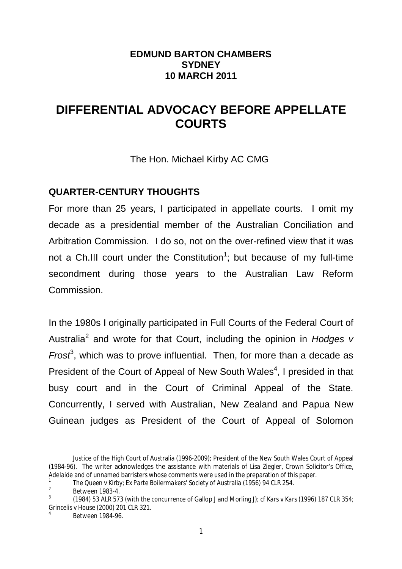#### **EDMUND BARTON CHAMBERS SYDNEY 10 MARCH 2011**

# **DIFFERENTIAL ADVOCACY BEFORE APPELLATE COURTS**

The Hon. Michael Kirby AC CMG

### **QUARTER-CENTURY THOUGHTS**

For more than 25 years, I participated in appellate courts. I omit my decade as a presidential member of the Australian Conciliation and Arbitration Commission. I do so, not on the over-refined view that it was not a Ch.III court under the Constitution<sup>1</sup>; but because of my full-time secondment during those years to the Australian Law Reform Commission.

In the 1980s I originally participated in Full Courts of the Federal Court of Australia<sup>2</sup> and wrote for that Court, including the opinion in *Hodges v Frost*<sup>3</sup>, which was to prove influential. Then, for more than a decade as President of the Court of Appeal of New South Wales<sup>4</sup>, I presided in that busy court and in the Court of Criminal Appeal of the State. Concurrently, I served with Australian, New Zealand and Papua New Guinean judges as President of the Court of Appeal of Solomon

 $\overline{a}$ 

Justice of the High Court of Australia (1996-2009); President of the New South Wales Court of Appeal (1984-96). The writer acknowledges the assistance with materials of Lisa Ziegler, Crown Solicitor's Office, Adelaide and of unnamed barristers whose comments were used in the preparation of this paper. 1

*The Queen v Kirby; Ex Parte Boilermakers' Society of Australia* (1956) 94 CLR 254.

<sup>2</sup> Between 1983-4.

<sup>3</sup> (1984) 53 ALR 573 (with the concurrence of Gallop J and Morling J); cf *Kars v Kars* (1996) 187 CLR 354; *Grincelis v House* (2000) 201 CLR 321.

<sup>4</sup> Between 1984-96.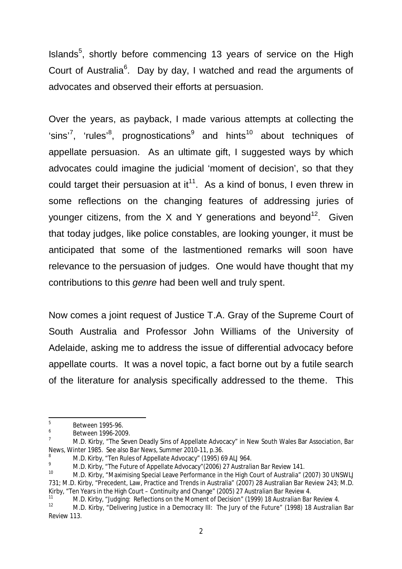Islands<sup>5</sup>, shortly before commencing 13 years of service on the High Court of Australia<sup>6</sup>. Day by day, I watched and read the arguments of advocates and observed their efforts at persuasion.

Over the years, as payback, I made various attempts at collecting the 'sins'<sup>7</sup>, 'rules'<sup>8</sup>, prognostications<sup>9</sup> and hints<sup>10</sup> about techniques of appellate persuasion. As an ultimate gift, I suggested ways by which advocates could imagine the judicial 'moment of decision', so that they could target their persuasion at it<sup>11</sup>. As a kind of bonus, I even threw in some reflections on the changing features of addressing juries of younger citizens, from the X and Y generations and beyond<sup>12</sup>. Given that today judges, like police constables, are looking younger, it must be anticipated that some of the lastmentioned remarks will soon have relevance to the persuasion of judges. One would have thought that my contributions to this *genre* had been well and truly spent.

Now comes a joint request of Justice T.A. Gray of the Supreme Court of South Australia and Professor John Williams of the University of Adelaide, asking me to address the issue of differential advocacy before appellate courts. It was a novel topic, a fact borne out by a futile search of the literature for analysis specifically addressed to the theme. This

 5 Between 1995-96.

<sup>6</sup> Between 1996-2009.

<sup>7</sup> M.D. Kirby, "The Seven Deadly Sins of Appellate Advocacy" in New South Wales Bar Association, *Bar News*, Winter 1985. See also *Bar News*, Summer 2010-11, p.36.

<sup>&</sup>lt;sup>8</sup> M.D. Kirby, "Ten Rules of Appellate Advocacy" (1995) 69 ALJ 964.

<sup>9</sup> M.D. Kirby, "The Future of Appellate Advocacy"(2006) 27 *Australian Bar Review* 141.

<sup>10</sup> M.D. Kirby, "Maximising Special Leave Performance in the High Court of Australia" (2007) 30 UNSWLJ 731; M.D. Kirby, "Precedent, Law, Practice and Trends in Australia" (2007) 28 Australian Bar Review 243; M.D. Kirby, "Ten Years in the High Court – Continuity and Change" (2005) 27 *Australian Bar Review* 4.

<sup>11</sup> M.D. Kirby, "Judging: Reflections on the Moment of Decision" (1999) 18 *Australian Bar Review* 4.

<sup>12</sup> M.D. Kirby, "Delivering Justice in a Democracy III: The Jury of the Future" (1998) 18 *Australian Bar Review* 113.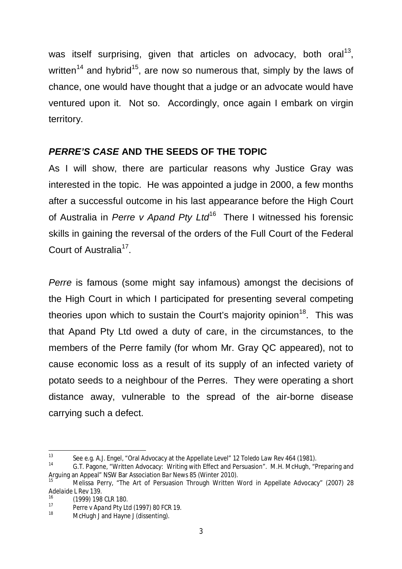was itself surprising, given that articles on advocacy, both oral<sup>13</sup>, written<sup>14</sup> and hybrid<sup>15</sup>, are now so numerous that, simply by the laws of chance, one would have thought that a judge or an advocate would have ventured upon it. Not so. Accordingly, once again I embark on virgin territory.

### *PERRE'S CASE* **AND THE SEEDS OF THE TOPIC**

As I will show, there are particular reasons why Justice Gray was interested in the topic. He was appointed a judge in 2000, a few months after a successful outcome in his last appearance before the High Court of Australia in Perre v Apand Pty Ltd<sup>16</sup> There I witnessed his forensic skills in gaining the reversal of the orders of the Full Court of the Federal Court of Australia<sup>17</sup>.

*Perre* is famous (some might say infamous) amongst the decisions of the High Court in which I participated for presenting several competing theories upon which to sustain the Court's majority opinion<sup>18</sup>. This was that Apand Pty Ltd owed a duty of care, in the circumstances, to the members of the Perre family (for whom Mr. Gray QC appeared), not to cause economic loss as a result of its supply of an infected variety of potato seeds to a neighbour of the Perres. They were operating a short distance away, vulnerable to the spread of the air-borne disease carrying such a defect.

 $13$ <sup>13</sup> See e.g. A.J. Engel, "Oral Advocacy at the Appellate Level" 12 *Toledo Law Rev* 464 (1981).

G.T. Pagone, "Written Advocacy: Writing with Effect and Persuasion". M.H. McHugh, "Preparing and Arguing an Appeal" NSW Bar Association *Bar News* 85 (Winter 2010).

<sup>15</sup> Melissa Perry, "The Art of Persuasion Through Written Word in Appellate Advocacy" (2007) 28 *Adelaide L Rev* 139.

 $^{16}$  (1999) 198 CLR 180.

<sup>17</sup> *Perre v Apand Pty Ltd* (1997) 80 FCR 19.

McHugh J and Hayne J (dissenting).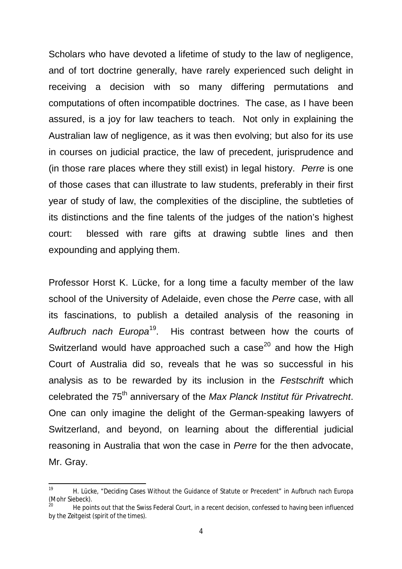Scholars who have devoted a lifetime of study to the law of negligence, and of tort doctrine generally, have rarely experienced such delight in receiving a decision with so many differing permutations and computations of often incompatible doctrines. The case, as I have been assured, is a joy for law teachers to teach. Not only in explaining the Australian law of negligence, as it was then evolving; but also for its use in courses on judicial practice, the law of precedent, jurisprudence and (in those rare places where they still exist) in legal history. *Perre* is one of those cases that can illustrate to law students, preferably in their first year of study of law, the complexities of the discipline, the subtleties of its distinctions and the fine talents of the judges of the nation's highest court: blessed with rare gifts at drawing subtle lines and then expounding and applying them.

Professor Horst K. Lücke, for a long time a faculty member of the law school of the University of Adelaide, even chose the *Perre* case, with all its fascinations, to publish a detailed analysis of the reasoning in *Aufbruch nach Europa*<sup>19</sup>. His contrast between how the courts of Switzerland would have approached such a case<sup>20</sup> and how the High Court of Australia did so, reveals that he was so successful in his analysis as to be rewarded by its inclusion in the *Festschrift* which celebrated the 75th anniversary of the *Max Planck Institut für Privatrecht*. One can only imagine the delight of the German-speaking lawyers of Switzerland, and beyond, on learning about the differential judicial reasoning in Australia that won the case in *Perre* for the then advocate, Mr. Gray.

 $10$ <sup>19</sup> H. Lücke, "Deciding Cases Without the Guidance of Statute or Precedent" in *Aufbruch nach Europa* (Mohr Siebeck).

<sup>20</sup> He points out that the Swiss Federal Court, in a recent decision, confessed to having been influenced by the *Zeitgeist* (spirit of the times).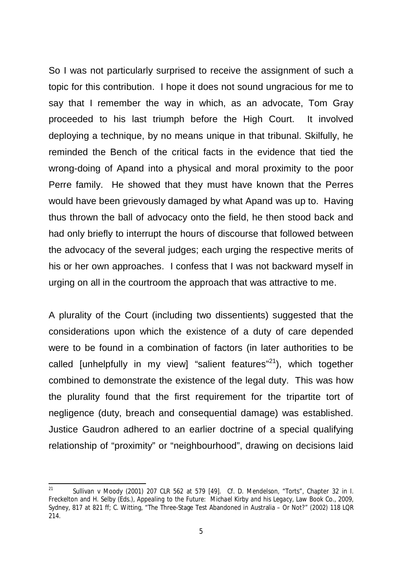So I was not particularly surprised to receive the assignment of such a topic for this contribution. I hope it does not sound ungracious for me to say that I remember the way in which, as an advocate, Tom Gray proceeded to his last triumph before the High Court. It involved deploying a technique, by no means unique in that tribunal. Skilfully, he reminded the Bench of the critical facts in the evidence that tied the wrong-doing of Apand into a physical and moral proximity to the poor Perre family. He showed that they must have known that the Perres would have been grievously damaged by what Apand was up to. Having thus thrown the ball of advocacy onto the field, he then stood back and had only briefly to interrupt the hours of discourse that followed between the advocacy of the several judges; each urging the respective merits of his or her own approaches. I confess that I was not backward myself in urging on all in the courtroom the approach that was attractive to me.

A plurality of the Court (including two dissentients) suggested that the considerations upon which the existence of a duty of care depended were to be found in a combination of factors (in later authorities to be called [unhelpfully in my view] "salient features"<sup>21</sup>), which together combined to demonstrate the existence of the legal duty. This was how the plurality found that the first requirement for the tripartite tort of negligence (duty, breach and consequential damage) was established. Justice Gaudron adhered to an earlier doctrine of a special qualifying relationship of "proximity" or "neighbourhood", drawing on decisions laid

 $21$ <sup>21</sup> *Sullivan v Moody* (2001) 207 CLR 562 at 579 [49]. Cf. D. Mendelson, "Torts", Chapter 32 in I. Freckelton and H. Selby (Eds.), *Appealing to the Future: Michael Kirby and his Legacy*, Law Book Co., 2009, Sydney, 817 at 821 ff; C. Witting, "The Three-Stage Test Abandoned in Australia – Or Not?" (2002) 118 LQR 214.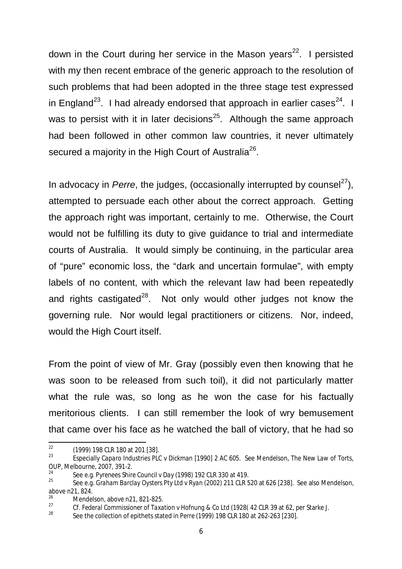down in the Court during her service in the Mason years<sup>22</sup>. I persisted with my then recent embrace of the generic approach to the resolution of such problems that had been adopted in the three stage test expressed in England<sup>23</sup>. I had already endorsed that approach in earlier cases<sup>24</sup>. I was to persist with it in later decisions $25$ . Although the same approach had been followed in other common law countries, it never ultimately secured a majority in the High Court of Australia<sup>26</sup>.

In advocacy in *Perre*, the judges, (occasionally interrupted by counsel<sup>27</sup>), attempted to persuade each other about the correct approach. Getting the approach right was important, certainly to me. Otherwise, the Court would not be fulfilling its duty to give guidance to trial and intermediate courts of Australia. It would simply be continuing, in the particular area of "pure" economic loss, the "dark and uncertain formulae", with empty labels of no content, with which the relevant law had been repeatedly and rights castigated<sup>28</sup>. Not only would other judges not know the governing rule. Nor would legal practitioners or citizens. Nor, indeed, would the High Court itself.

From the point of view of Mr. Gray (possibly even then knowing that he was soon to be released from such toil), it did not particularly matter what the rule was, so long as he won the case for his factually meritorious clients. I can still remember the look of wry bemusement that came over his face as he watched the ball of victory, that he had so

 $22$  $^{22}$  (1999) 198 CLR 180 at 201 [38].

<sup>23</sup> Especially *Caparo Industries PLC v Dickman* [1990] 2 AC 605. See Mendelson, *The New Law of Torts*, OUP, Melbourne, 2007, 391-2.

<sup>24</sup> See e.g. *Pyrenees Shire Council v Day* (1998) 192 CLR 330 at 419.

<sup>25</sup> See e.g. *Graham Barclay Oysters Pty Ltd v Ryan* (2002) 211 CLR 520 at 626 [238]. See also Mendelson, above n21, 824.

 $\frac{26}{27}$  Mendelson, above n21, 821-825.

<sup>27</sup> Cf. *Federal Commissioner of Taxation v Hofnung & Co Lt*d (1928( 42 CLR 39 at 62, per Starke J.

<sup>28</sup> See the collection of epithets stated in *Perre* (1999) 198 CLR 180 at 262-263 [230].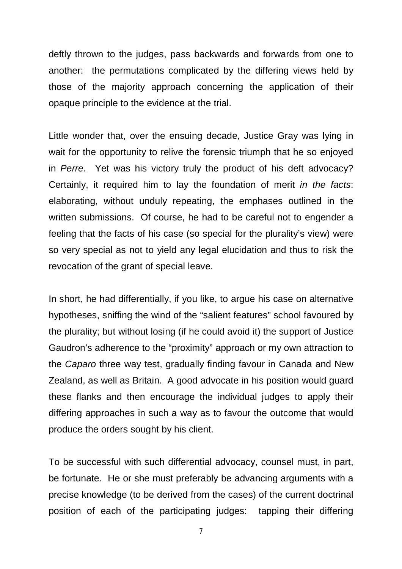deftly thrown to the judges, pass backwards and forwards from one to another: the permutations complicated by the differing views held by those of the majority approach concerning the application of their opaque principle to the evidence at the trial.

Little wonder that, over the ensuing decade, Justice Gray was lying in wait for the opportunity to relive the forensic triumph that he so enjoyed in *Perre*. Yet was his victory truly the product of his deft advocacy? Certainly, it required him to lay the foundation of merit *in the facts*: elaborating, without unduly repeating, the emphases outlined in the written submissions. Of course, he had to be careful not to engender a feeling that the facts of his case (so special for the plurality's view) were so very special as not to yield any legal elucidation and thus to risk the revocation of the grant of special leave.

In short, he had differentially, if you like, to argue his case on alternative hypotheses, sniffing the wind of the "salient features" school favoured by the plurality; but without losing (if he could avoid it) the support of Justice Gaudron's adherence to the "proximity" approach or my own attraction to the *Caparo* three way test, gradually finding favour in Canada and New Zealand, as well as Britain. A good advocate in his position would guard these flanks and then encourage the individual judges to apply their differing approaches in such a way as to favour the outcome that would produce the orders sought by his client.

To be successful with such differential advocacy, counsel must, in part, be fortunate. He or she must preferably be advancing arguments with a precise knowledge (to be derived from the cases) of the current doctrinal position of each of the participating judges: tapping their differing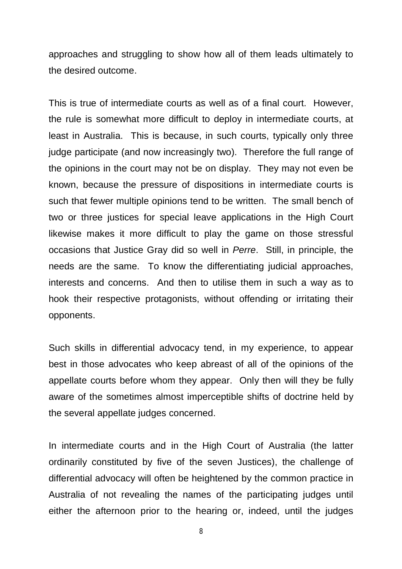approaches and struggling to show how all of them leads ultimately to the desired outcome.

This is true of intermediate courts as well as of a final court. However, the rule is somewhat more difficult to deploy in intermediate courts, at least in Australia. This is because, in such courts, typically only three judge participate (and now increasingly two). Therefore the full range of the opinions in the court may not be on display. They may not even be known, because the pressure of dispositions in intermediate courts is such that fewer multiple opinions tend to be written. The small bench of two or three justices for special leave applications in the High Court likewise makes it more difficult to play the game on those stressful occasions that Justice Gray did so well in *Perre*. Still, in principle, the needs are the same. To know the differentiating judicial approaches, interests and concerns. And then to utilise them in such a way as to hook their respective protagonists, without offending or irritating their opponents.

Such skills in differential advocacy tend, in my experience, to appear best in those advocates who keep abreast of all of the opinions of the appellate courts before whom they appear. Only then will they be fully aware of the sometimes almost imperceptible shifts of doctrine held by the several appellate judges concerned.

In intermediate courts and in the High Court of Australia (the latter ordinarily constituted by five of the seven Justices), the challenge of differential advocacy will often be heightened by the common practice in Australia of not revealing the names of the participating judges until either the afternoon prior to the hearing or, indeed, until the judges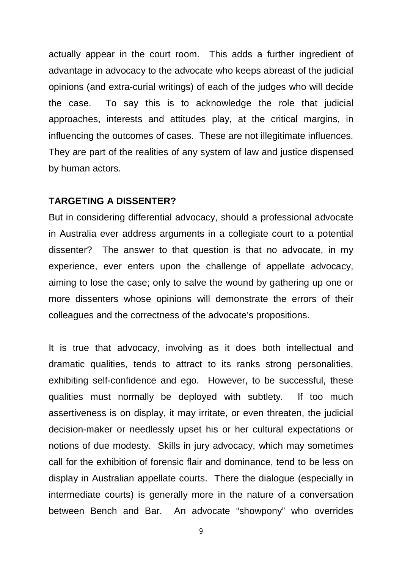actually appear in the court room. This adds a further ingredient of advantage in advocacy to the advocate who keeps abreast of the judicial opinions (and extra-curial writings) of each of the judges who will decide the case. To say this is to acknowledge the role that judicial approaches, interests and attitudes play, at the critical margins, in influencing the outcomes of cases. These are not illegitimate influences. They are part of the realities of any system of law and justice dispensed by human actors.

#### **TARGETING A DISSENTER?**

But in considering differential advocacy, should a professional advocate in Australia ever address arguments in a collegiate court to a potential dissenter? The answer to that question is that no advocate, in my experience, ever enters upon the challenge of appellate advocacy, aiming to lose the case; only to salve the wound by gathering up one or more dissenters whose opinions will demonstrate the errors of their colleagues and the correctness of the advocate's propositions.

It is true that advocacy, involving as it does both intellectual and dramatic qualities, tends to attract to its ranks strong personalities, exhibiting self-confidence and ego. However, to be successful, these qualities must normally be deployed with subtlety. If too much assertiveness is on display, it may irritate, or even threaten, the judicial decision-maker or needlessly upset his or her cultural expectations or notions of due modesty. Skills in jury advocacy, which may sometimes call for the exhibition of forensic flair and dominance, tend to be less on display in Australian appellate courts. There the dialogue (especially in intermediate courts) is generally more in the nature of a conversation between Bench and Bar. An advocate "showpony" who overrides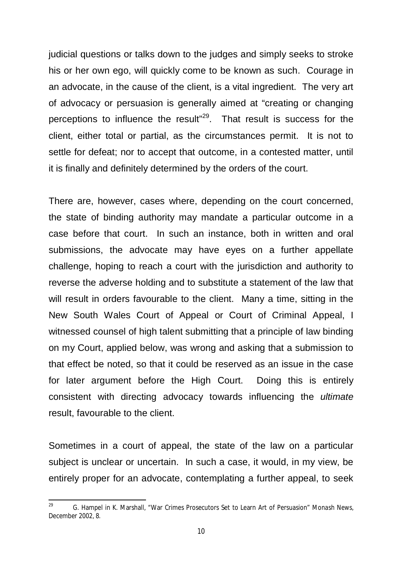judicial questions or talks down to the judges and simply seeks to stroke his or her own ego, will quickly come to be known as such. Courage in an advocate, in the cause of the client, is a vital ingredient. The very art of advocacy or persuasion is generally aimed at "creating or changing perceptions to influence the result"<sup>29</sup>. That result is success for the client, either total or partial, as the circumstances permit. It is not to settle for defeat; nor to accept that outcome, in a contested matter, until it is finally and definitely determined by the orders of the court.

There are, however, cases where, depending on the court concerned, the state of binding authority may mandate a particular outcome in a case before that court. In such an instance, both in written and oral submissions, the advocate may have eyes on a further appellate challenge, hoping to reach a court with the jurisdiction and authority to reverse the adverse holding and to substitute a statement of the law that will result in orders favourable to the client. Many a time, sitting in the New South Wales Court of Appeal or Court of Criminal Appeal, I witnessed counsel of high talent submitting that a principle of law binding on my Court, applied below, was wrong and asking that a submission to that effect be noted, so that it could be reserved as an issue in the case for later argument before the High Court. Doing this is entirely consistent with directing advocacy towards influencing the *ultimate* result, favourable to the client.

Sometimes in a court of appeal, the state of the law on a particular subject is unclear or uncertain. In such a case, it would, in my view, be entirely proper for an advocate, contemplating a further appeal, to seek

<sup>29</sup> <sup>29</sup> G. Hampel in K. Marshall, "War Crimes Prosecutors Set to Learn Art of Persuasion" *Monash News*, December 2002, 8.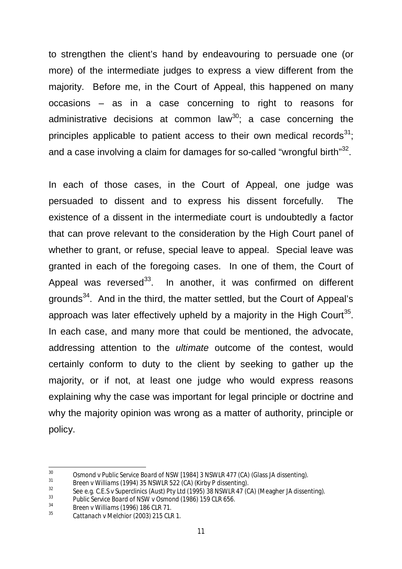to strengthen the client's hand by endeavouring to persuade one (or more) of the intermediate judges to express a view different from the majority. Before me, in the Court of Appeal, this happened on many occasions – as in a case concerning to right to reasons for administrative decisions at common law<sup>30</sup>; a case concerning the principles applicable to patient access to their own medical records $31$ ; and a case involving a claim for damages for so-called "wrongful birth" $32$ .

In each of those cases, in the Court of Appeal, one judge was persuaded to dissent and to express his dissent forcefully. The existence of a dissent in the intermediate court is undoubtedly a factor that can prove relevant to the consideration by the High Court panel of whether to grant, or refuse, special leave to appeal. Special leave was granted in each of the foregoing cases. In one of them, the Court of Appeal was reversed<sup>33</sup>. In another, it was confirmed on different grounds<sup>34</sup>. And in the third, the matter settled, but the Court of Appeal's approach was later effectively upheld by a majority in the High Court<sup>35</sup>. In each case, and many more that could be mentioned, the advocate, addressing attention to the *ultimate* outcome of the contest, would certainly conform to duty to the client by seeking to gather up the majority, or if not, at least one judge who would express reasons explaining why the case was important for legal principle or doctrine and why the majority opinion was wrong as a matter of authority, principle or policy.

 $30$ <sup>30</sup> *Osmond v Public Service Board of NSW* [1984] 3 NSWLR 477 (CA) (Glass JA dissenting).

<sup>31</sup> *Breen v Williams* (1994) 35 NSWLR 522 (CA) (Kirby P dissenting).

<sup>32</sup> See e.g*. C.E.S v Superclinics (Aust) Pty Ltd* (1995) 38 NSWLR 47 (CA) (Meagher JA dissenting).

<sup>33</sup> *Public Service Board of NSW v Osmond* (1986) 159 CLR 656.

<sup>34</sup> *Breen v Williams* (1996) 186 CLR 71.

<sup>35</sup> *Cattanach v Melchior* (2003) 215 CLR 1.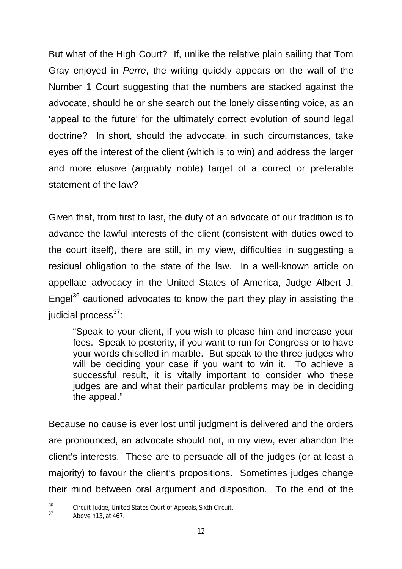But what of the High Court? If, unlike the relative plain sailing that Tom Gray enjoyed in *Perre*, the writing quickly appears on the wall of the Number 1 Court suggesting that the numbers are stacked against the advocate, should he or she search out the lonely dissenting voice, as an 'appeal to the future' for the ultimately correct evolution of sound legal doctrine? In short, should the advocate, in such circumstances, take eyes off the interest of the client (which is to win) and address the larger and more elusive (arguably noble) target of a correct or preferable statement of the law?

Given that, from first to last, the duty of an advocate of our tradition is to advance the lawful interests of the client (consistent with duties owed to the court itself), there are still, in my view, difficulties in suggesting a residual obligation to the state of the law. In a well-known article on appellate advocacy in the United States of America, Judge Albert J. Engel<sup>36</sup> cautioned advocates to know the part they play in assisting the iudicial process $37$ :

"Speak to your client, if you wish to please him and increase your fees. Speak to posterity, if you want to run for Congress or to have your words chiselled in marble. But speak to the three judges who will be deciding your case if you want to win it. To achieve a successful result, it is vitally important to consider who these judges are and what their particular problems may be in deciding the appeal."

Because no cause is ever lost until judgment is delivered and the orders are pronounced, an advocate should not, in my view, ever abandon the client's interests. These are to persuade all of the judges (or at least a majority) to favour the client's propositions. Sometimes judges change their mind between oral argument and disposition. To the end of the

<sup>36</sup> <sup>36</sup> Circuit Judge, United States Court of Appeals, Sixth Circuit.

Above  $n13$ , at  $467$ .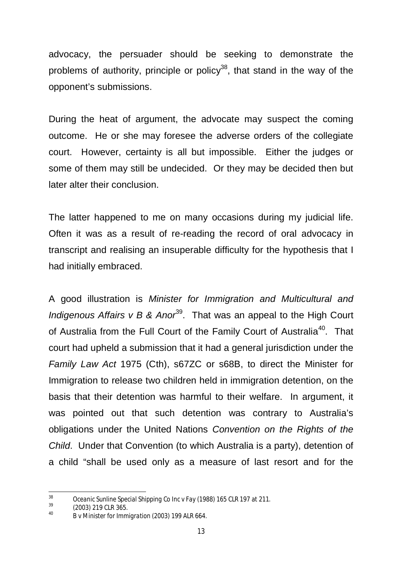advocacy, the persuader should be seeking to demonstrate the problems of authority, principle or policy<sup>38</sup>, that stand in the way of the opponent's submissions.

During the heat of argument, the advocate may suspect the coming outcome. He or she may foresee the adverse orders of the collegiate court. However, certainty is all but impossible. Either the judges or some of them may still be undecided. Or they may be decided then but later alter their conclusion.

The latter happened to me on many occasions during my judicial life. Often it was as a result of re-reading the record of oral advocacy in transcript and realising an insuperable difficulty for the hypothesis that I had initially embraced.

A good illustration is *Minister for Immigration and Multicultural and Indigenous Affairs v B & Anor*<sup>39</sup>. That was an appeal to the High Court of Australia from the Full Court of the Family Court of Australia<sup>40</sup>. That court had upheld a submission that it had a general jurisdiction under the *Family Law Act* 1975 (Cth), s67ZC or s68B, to direct the Minister for Immigration to release two children held in immigration detention, on the basis that their detention was harmful to their welfare. In argument, it was pointed out that such detention was contrary to Australia's obligations under the United Nations *Convention on the Rights of the Child*. Under that Convention (to which Australia is a party), detention of a child "shall be used only as a measure of last resort and for the

<sup>38</sup> <sup>38</sup> *Oceanic Sunline Special Shipping Co Inc v Fay* (1988) 165 CLR 197 at 211.

 $\frac{39}{40}$  (2003) 219 CLR 365.

<sup>40</sup> *B v Minister for Immigration* (2003) 199 ALR 664.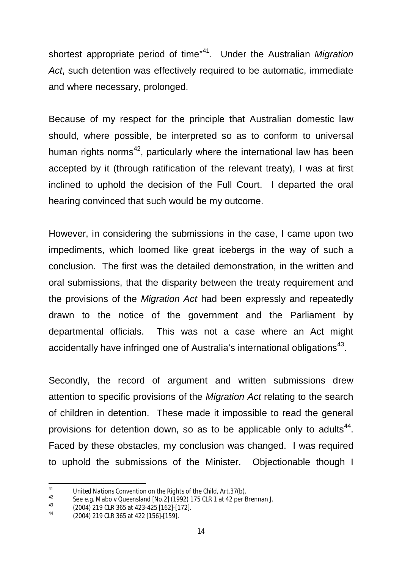shortest appropriate period of time<sup>"41</sup>. Under the Australian *Migration Act*, such detention was effectively required to be automatic, immediate and where necessary, prolonged.

Because of my respect for the principle that Australian domestic law should, where possible, be interpreted so as to conform to universal human rights norms<sup>42</sup>, particularly where the international law has been accepted by it (through ratification of the relevant treaty), I was at first inclined to uphold the decision of the Full Court. I departed the oral hearing convinced that such would be my outcome.

However, in considering the submissions in the case, I came upon two impediments, which loomed like great icebergs in the way of such a conclusion. The first was the detailed demonstration, in the written and oral submissions, that the disparity between the treaty requirement and the provisions of the *Migration Act* had been expressly and repeatedly drawn to the notice of the government and the Parliament by departmental officials. This was not a case where an Act might accidentally have infringed one of Australia's international obligations $43$ .

Secondly, the record of argument and written submissions drew attention to specific provisions of the *Migration Act* relating to the search of children in detention. These made it impossible to read the general provisions for detention down, so as to be applicable only to adults<sup>44</sup>. Faced by these obstacles, my conclusion was changed. I was required to uphold the submissions of the Minister. Objectionable though I

 $\overline{11}$ <sup>41</sup> *United Nations Convention on the Rights of the Child*, Art.37(b).

<sup>42</sup> See e.g. *Mabo v Queensland [No.2]* (1992) 175 CLR 1 at 42 per Brennan J.

 $^{43}$  (2004) 219 CLR 365 at 423-425 [162]-[172].

<sup>44</sup> (2004) 219 CLR 365 at 422 [156]-[159].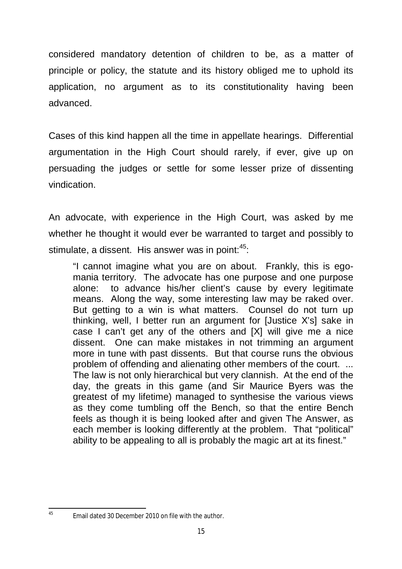considered mandatory detention of children to be, as a matter of principle or policy, the statute and its history obliged me to uphold its application, no argument as to its constitutionality having been advanced.

Cases of this kind happen all the time in appellate hearings. Differential argumentation in the High Court should rarely, if ever, give up on persuading the judges or settle for some lesser prize of dissenting vindication.

An advocate, with experience in the High Court, was asked by me whether he thought it would ever be warranted to target and possibly to stimulate, a dissent. His answer was in point: $45$ :

"I cannot imagine what you are on about. Frankly, this is egomania territory. The advocate has one purpose and one purpose alone: to advance his/her client's cause by every legitimate means. Along the way, some interesting law may be raked over. But getting to a win is what matters. Counsel do not turn up thinking, well, I better run an argument for [Justice X's] sake in case I can't get any of the others and [X] will give me a nice dissent. One can make mistakes in not trimming an argument more in tune with past dissents. But that course runs the obvious problem of offending and alienating other members of the court. ... The law is not only hierarchical but very clannish. At the end of the day, the greats in this game (and Sir Maurice Byers was the greatest of my lifetime) managed to synthesise the various views as they come tumbling off the Bench, so that the entire Bench feels as though it is being looked after and given The Answer, as each member is looking differently at the problem. That "political" ability to be appealing to all is probably the magic art at its finest."

 $\overline{AB}$ 

Email dated 30 December 2010 on file with the author.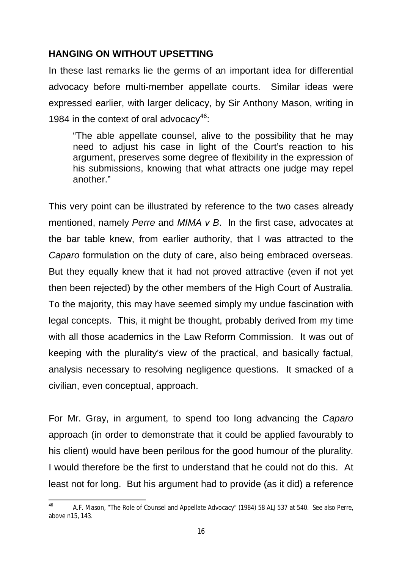### **HANGING ON WITHOUT UPSETTING**

In these last remarks lie the germs of an important idea for differential advocacy before multi-member appellate courts. Similar ideas were expressed earlier, with larger delicacy, by Sir Anthony Mason, writing in 1984 in the context of oral advocacy<sup>46</sup>:

"The able appellate counsel, alive to the possibility that he may need to adjust his case in light of the Court's reaction to his argument, preserves some degree of flexibility in the expression of his submissions, knowing that what attracts one judge may repel another."

This very point can be illustrated by reference to the two cases already mentioned, namely *Perre* and *MIMA v B*. In the first case, advocates at the bar table knew, from earlier authority, that I was attracted to the *Caparo* formulation on the duty of care, also being embraced overseas. But they equally knew that it had not proved attractive (even if not yet then been rejected) by the other members of the High Court of Australia. To the majority, this may have seemed simply my undue fascination with legal concepts. This, it might be thought, probably derived from my time with all those academics in the Law Reform Commission. It was out of keeping with the plurality's view of the practical, and basically factual, analysis necessary to resolving negligence questions. It smacked of a civilian, even conceptual, approach.

For Mr. Gray, in argument, to spend too long advancing the *Caparo* approach (in order to demonstrate that it could be applied favourably to his client) would have been perilous for the good humour of the plurality. I would therefore be the first to understand that he could not do this. At least not for long. But his argument had to provide (as it did) a reference

 $46$ <sup>46</sup> A.F. Mason, "The Role of Counsel and Appellate Advocacy" (1984) 58 ALJ 537 at 540. See also *Perre*, above n15, 143.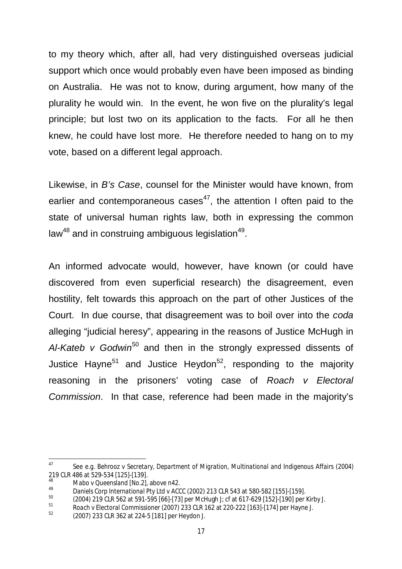to my theory which, after all, had very distinguished overseas judicial support which once would probably even have been imposed as binding on Australia. He was not to know, during argument, how many of the plurality he would win. In the event, he won five on the plurality's legal principle; but lost two on its application to the facts. For all he then knew, he could have lost more. He therefore needed to hang on to my vote, based on a different legal approach.

Likewise, in *B's Case*, counsel for the Minister would have known, from earlier and contemporaneous cases<sup>47</sup>, the attention I often paid to the state of universal human rights law, both in expressing the common law $^{48}$  and in construing ambiguous legislation $^{49}$ .

An informed advocate would, however, have known (or could have discovered from even superficial research) the disagreement, even hostility, felt towards this approach on the part of other Justices of the Court. In due course, that disagreement was to boil over into the *coda* alleging "judicial heresy", appearing in the reasons of Justice McHugh in Al-Kateb v Godwin<sup>50</sup> and then in the strongly expressed dissents of Justice Hayne<sup>51</sup> and Justice Heydon<sup>52</sup>, responding to the majority reasoning in the prisoners' voting case of *Roach v Electoral Commission*. In that case, reference had been made in the majority's

<sup>47</sup> <sup>47</sup> See e.g. *Behrooz v Secretary, Department of Migration, Multinational and Indigenous Affairs* (2004) 219 CLR 486 at 529-534 [125]-[139].

<sup>48</sup> *Mabo v Queensland [No.2]*, above n42.

<sup>49</sup> *Daniels Corp International Pty Ltd v ACCC* (2002) 213 CLR 543 at 580-582 [155]-[159].

 $^{50}$  (2004) 219 CLR 562 at 591-595 [66]-[73] per McHugh J; cf at 617-629 [152]-[190] per Kirby J.

<sup>51</sup> *Roach v Electoral Commissioner* (2007) 233 CLR 162 at 220-222 [163]-[174] per Hayne J.

<sup>52</sup> (2007) 233 CLR 362 at 224-5 [181] per Heydon J.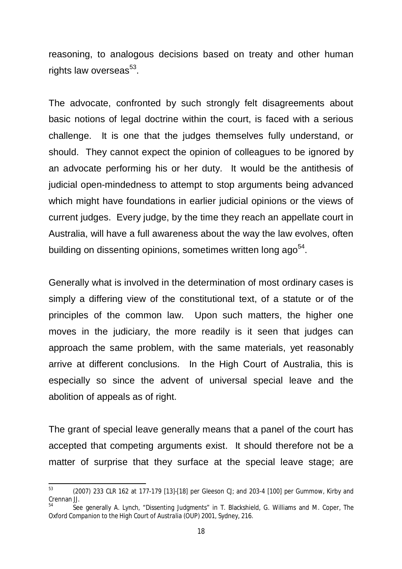reasoning, to analogous decisions based on treaty and other human rights law overseas<sup>53</sup>.

The advocate, confronted by such strongly felt disagreements about basic notions of legal doctrine within the court, is faced with a serious challenge. It is one that the judges themselves fully understand, or should. They cannot expect the opinion of colleagues to be ignored by an advocate performing his or her duty. It would be the antithesis of judicial open-mindedness to attempt to stop arguments being advanced which might have foundations in earlier judicial opinions or the views of current judges. Every judge, by the time they reach an appellate court in Australia, will have a full awareness about the way the law evolves, often building on dissenting opinions, sometimes written long ago<sup>54</sup>.

Generally what is involved in the determination of most ordinary cases is simply a differing view of the constitutional text, of a statute or of the principles of the common law. Upon such matters, the higher one moves in the judiciary, the more readily is it seen that judges can approach the same problem, with the same materials, yet reasonably arrive at different conclusions. In the High Court of Australia, this is especially so since the advent of universal special leave and the abolition of appeals as of right.

The grant of special leave generally means that a panel of the court has accepted that competing arguments exist. It should therefore not be a matter of surprise that they surface at the special leave stage; are

 $53$ <sup>53</sup> (2007) 233 CLR 162 at 177-179 [13]-[18] per Gleeson CJ; and 203-4 [100] per Gummow, Kirby and Crennan JJ.

<sup>54</sup> See generally A. Lynch, "Dissenting Judgments" in T. Blackshield, G. Williams and M. Coper, *The Oxford Companion to the High Court of Australia* (OUP) 2001, Sydney, 216.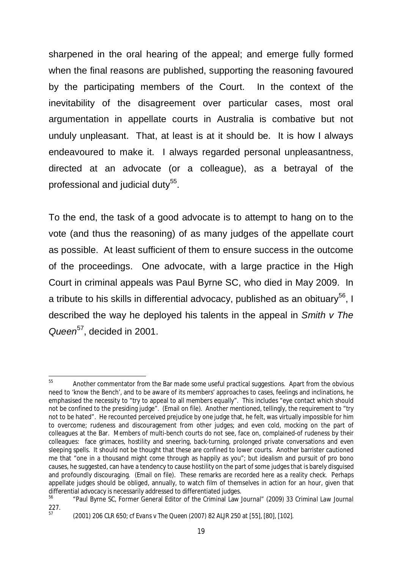sharpened in the oral hearing of the appeal; and emerge fully formed when the final reasons are published, supporting the reasoning favoured by the participating members of the Court. In the context of the inevitability of the disagreement over particular cases, most oral argumentation in appellate courts in Australia is combative but not unduly unpleasant. That, at least is at it should be. It is how I always endeavoured to make it. I always regarded personal unpleasantness, directed at an advocate (or a colleague), as a betrayal of the professional and judicial duty $^{55}.$ 

To the end, the task of a good advocate is to attempt to hang on to the vote (and thus the reasoning) of as many judges of the appellate court as possible. At least sufficient of them to ensure success in the outcome of the proceedings. One advocate, with a large practice in the High Court in criminal appeals was Paul Byrne SC, who died in May 2009. In a tribute to his skills in differential advocacy, published as an obituary<sup>56</sup>, I described the way he deployed his talents in the appeal in *Smith v The Queen*<sup>57</sup>, decided in 2001.

<sup>55</sup> <sup>55</sup> Another commentator from the Bar made some useful practical suggestions. Apart from the obvious need to 'know the Bench', and to be aware of its members' approaches to cases, feelings and inclinations, he emphasised the necessity to "try to appeal to all members equally". This includes "eye contact which should not be confined to the presiding judge". (Email on file). Another mentioned, tellingly, the requirement to "try not to be hated". He recounted perceived prejudice by one judge that, he felt, was virtually impossible for him to overcome; rudeness and discouragement from other judges; and even cold, mocking on the part of colleagues at the Bar. Members of multi-bench courts do not see, face on, complained-of rudeness by their colleagues: face grimaces, hostility and sneering, back-turning, prolonged private conversations and even sleeping spells. It should not be thought that these are confined to lower courts. Another barrister cautioned me that "one in a thousand might come through as happily as you"; but idealism and pursuit of *pro bono* causes, he suggested, can have a tendency to cause hostility on the part of some judges that is barely disguised and profoundly discouraging. (Email on file). These remarks are recorded here as a reality check. Perhaps appellate judges should be obliged, annually, to watch film of themselves in action for an hour, given that differential advocacy is necessarily addressed to differentiated judges.

<sup>56</sup> "Paul Byrne SC, Former General Editor of the Criminal Law Journal" (2009) 33 *Criminal Law Journal*  $227.57$ 

<sup>57</sup> (2001) 206 CLR 650; cf *Evans v The Queen* (2007) 82 ALJR 250 at [55], [80], [102].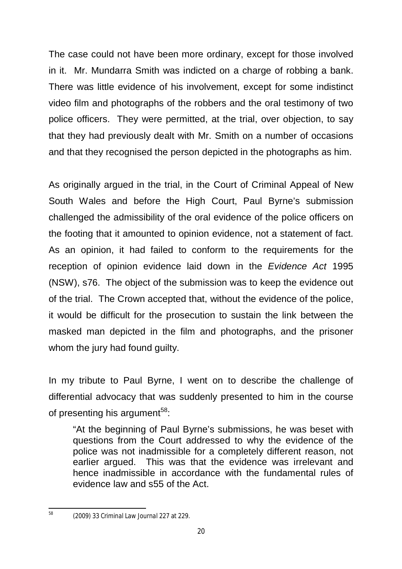The case could not have been more ordinary, except for those involved in it. Mr. Mundarra Smith was indicted on a charge of robbing a bank. There was little evidence of his involvement, except for some indistinct video film and photographs of the robbers and the oral testimony of two police officers. They were permitted, at the trial, over objection, to say that they had previously dealt with Mr. Smith on a number of occasions and that they recognised the person depicted in the photographs as him.

As originally argued in the trial, in the Court of Criminal Appeal of New South Wales and before the High Court, Paul Byrne's submission challenged the admissibility of the oral evidence of the police officers on the footing that it amounted to opinion evidence, not a statement of fact. As an opinion, it had failed to conform to the requirements for the reception of opinion evidence laid down in the *Evidence Act* 1995 (NSW), s76. The object of the submission was to keep the evidence out of the trial. The Crown accepted that, without the evidence of the police, it would be difficult for the prosecution to sustain the link between the masked man depicted in the film and photographs, and the prisoner whom the jury had found guilty.

In my tribute to Paul Byrne, I went on to describe the challenge of differential advocacy that was suddenly presented to him in the course of presenting his argument<sup>58</sup>:

"At the beginning of Paul Byrne's submissions, he was beset with questions from the Court addressed to why the evidence of the police was not inadmissible for a completely different reason, not earlier argued. This was that the evidence was irrelevant and hence inadmissible in accordance with the fundamental rules of evidence law and s55 of the Act.

 $58$ 

<sup>58</sup> (2009) 33 *Criminal Law Journal* 227 at 229.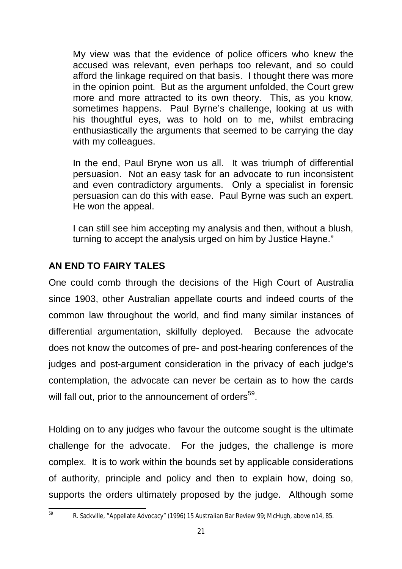My view was that the evidence of police officers who knew the accused was relevant, even perhaps too relevant, and so could afford the linkage required on that basis. I thought there was more in the opinion point. But as the argument unfolded, the Court grew more and more attracted to its own theory. This, as you know, sometimes happens. Paul Byrne's challenge, looking at us with his thoughtful eyes, was to hold on to me, whilst embracing enthusiastically the arguments that seemed to be carrying the day with my colleagues.

In the end, Paul Bryne won us all. It was triumph of differential persuasion. Not an easy task for an advocate to run inconsistent and even contradictory arguments. Only a specialist in forensic persuasion can do this with ease. Paul Byrne was such an expert. He won the appeal.

I can still see him accepting my analysis and then, without a blush, turning to accept the analysis urged on him by Justice Hayne."

## **AN END TO FAIRY TALES**

One could comb through the decisions of the High Court of Australia since 1903, other Australian appellate courts and indeed courts of the common law throughout the world, and find many similar instances of differential argumentation, skilfully deployed. Because the advocate does not know the outcomes of pre- and post-hearing conferences of the judges and post-argument consideration in the privacy of each judge's contemplation, the advocate can never be certain as to how the cards will fall out, prior to the announcement of orders<sup>59</sup>.

Holding on to any judges who favour the outcome sought is the ultimate challenge for the advocate. For the judges, the challenge is more complex. It is to work within the bounds set by applicable considerations of authority, principle and policy and then to explain how, doing so, supports the orders ultimately proposed by the judge. Although some

<sup>59</sup> R. Sackville, "Appellate Advocacy" (1996) 15 *Australian Bar Review* 99; McHugh, above n14, 85.